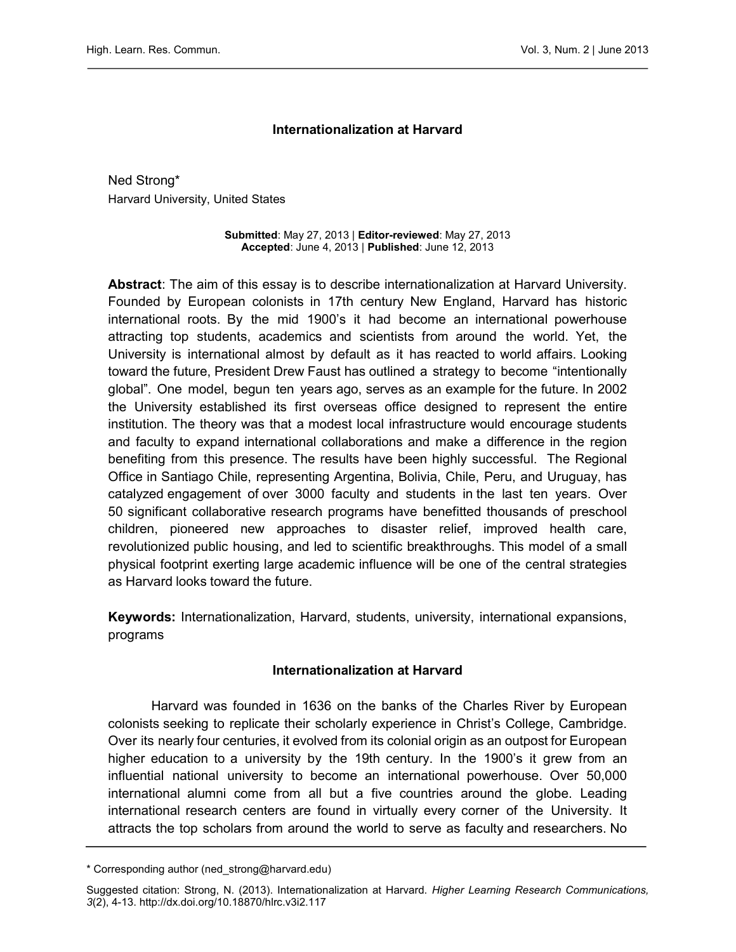## Internationalization at Harvard

Ned Strong\* Harvard University, United States

> Submitted: May 27, 2013 | Editor-reviewed: May 27, 2013 Accepted: June 4, 2013 | Published: June 12, 2013

Abstract: The aim of this essay is to describe internationalization at Harvard University. Founded by European colonists in 17th century New England, Harvard has historic international roots. By the mid 1900's it had become an international powerhouse attracting top students, academics and scientists from around the world. Yet, the University is international almost by default as it has reacted to world affairs. Looking toward the future, President Drew Faust has outlined a strategy to become "intentionally global". One model, begun ten years ago, serves as an example for the future. In 2002 the University established its first overseas office designed to represent the entire institution. The theory was that a modest local infrastructure would encourage students and faculty to expand international collaborations and make a difference in the region benefiting from this presence. The results have been highly successful. The Regional Office in Santiago Chile, representing Argentina, Bolivia, Chile, Peru, and Uruguay, has catalyzed engagement of over 3000 faculty and students in the last ten years. Over 50 significant collaborative research programs have benefitted thousands of preschool children, pioneered new approaches to disaster relief, improved health care, revolutionized public housing, and led to scientific breakthroughs. This model of a small physical footprint exerting large academic influence will be one of the central strategies as Harvard looks toward the future.

Keywords: Internationalization, Harvard, students, university, international expansions, programs

#### Internationalization at Harvard

Harvard was founded in 1636 on the banks of the Charles River by European colonists seeking to replicate their scholarly experience in Christ's College, Cambridge. Over its nearly four centuries, it evolved from its colonial origin as an outpost for European higher education to a university by the 19th century. In the 1900's it grew from an influential national university to become an international powerhouse. Over 50,000 international alumni come from all but a five countries around the globe. Leading international research centers are found in virtually every corner of the University. It attracts the top scholars from around the world to serve as faculty and researchers. No

<sup>\*</sup> Corresponding author (ned\_strong@harvard.edu)

Suggested citation: Strong, N. (2013). Internationalization at Harvard. Higher Learning Research Communications, 3(2), 4-13.<http://dx.doi.org/10.18870/hlrc.v3i2.117>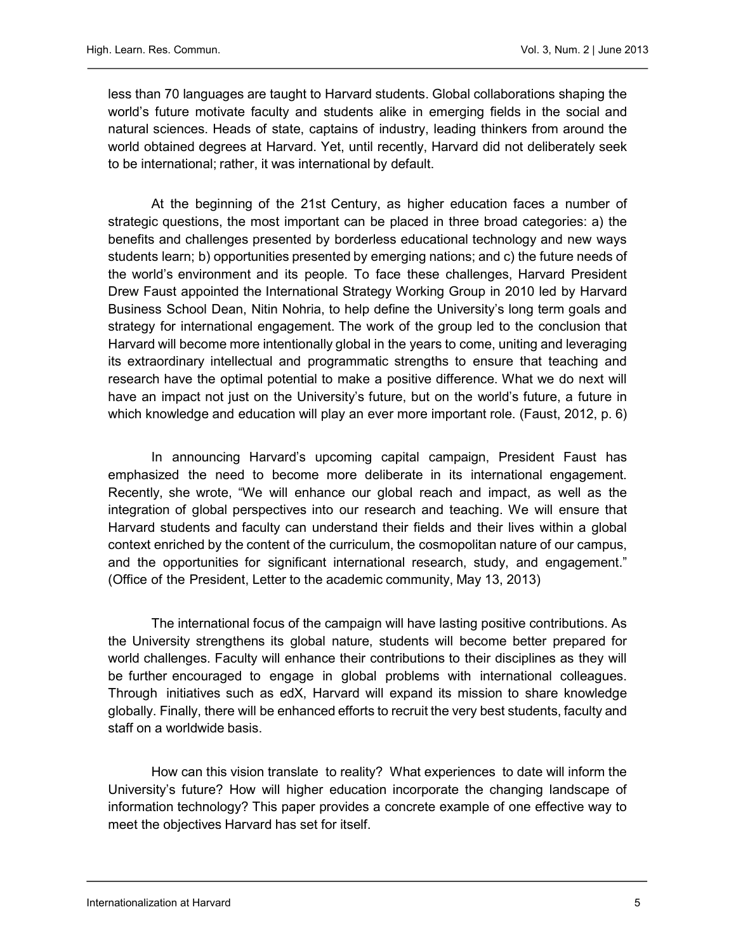less than 70 languages are taught to Harvard students. Global collaborations shaping the world's future motivate faculty and students alike in emerging fields in the social and natural sciences. Heads of state, captains of industry, leading thinkers from around the world obtained degrees at Harvard. Yet, until recently, Harvard did not deliberately seek to be international; rather, it was international by default.

At the beginning of the 21st Century, as higher education faces a number of strategic questions, the most important can be placed in three broad categories: a) the benefits and challenges presented by borderless educational technology and new ways students learn; b) opportunities presented by emerging nations; and c) the future needs of the world's environment and its people. To face these challenges, Harvard President Drew Faust appointed the International Strategy Working Group in 2010 led by Harvard Business School Dean, Nitin Nohria, to help define the University's long term goals and strategy for international engagement. The work of the group led to the conclusion that Harvard will become more intentionally global in the years to come, uniting and leveraging its extraordinary intellectual and programmatic strengths to ensure that teaching and research have the optimal potential to make a positive difference. What we do next will have an impact not just on the University's future, but on the world's future, a future in which knowledge and education will play an ever more important role. (Faust, 2012, p. 6)

In announcing Harvard's upcoming capital campaign, President Faust has emphasized the need to become more deliberate in its international engagement. Recently, she wrote, "We will enhance our global reach and impact, as well as the integration of global perspectives into our research and teaching. We will ensure that Harvard students and faculty can understand their fields and their lives within a global context enriched by the content of the curriculum, the cosmopolitan nature of our campus, and the opportunities for significant international research, study, and engagement." (Office of the President, Letter to the academic community, May 13, 2013)

The international focus of the campaign will have lasting positive contributions. As the University strengthens its global nature, students will become better prepared for world challenges. Faculty will enhance their contributions to their disciplines as they will be further encouraged to engage in global problems with international colleagues. Through initiatives such as edX, Harvard will expand its mission to share knowledge globally. Finally, there will be enhanced efforts to recruit the very best students, faculty and staff on a worldwide basis.

How can this vision translate to reality? What experiences to date will inform the University's future? How will higher education incorporate the changing landscape of information technology? This paper provides a concrete example of one effective way to meet the objectives Harvard has set for itself.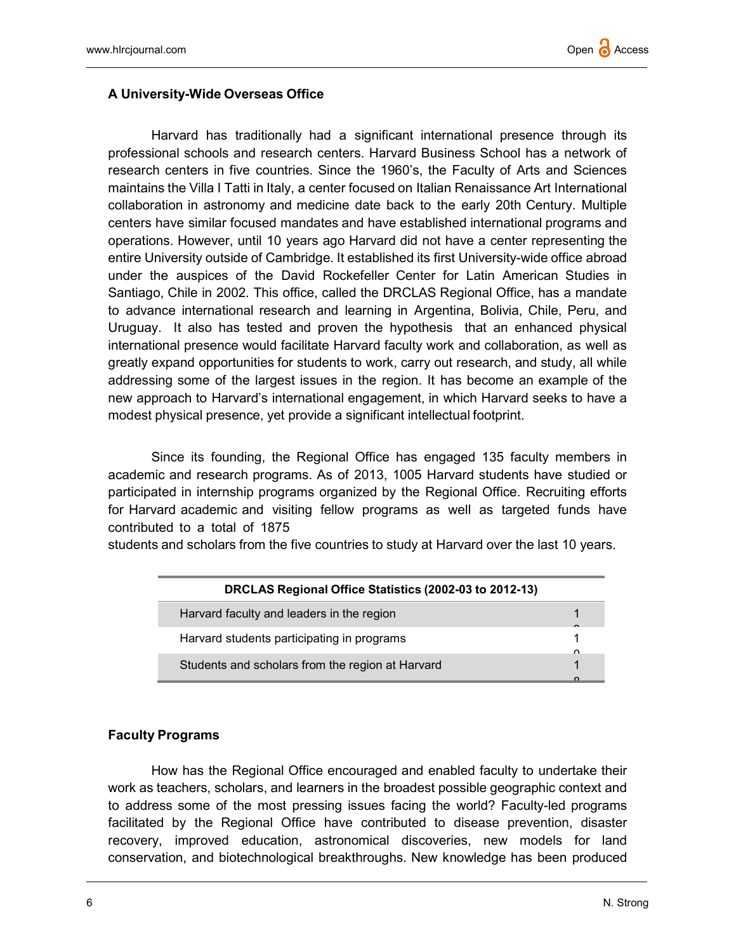## A University-Wide Overseas Office

Harvard has traditionally had a significant international presence through its professional schools and research centers. Harvard Business School has a network of research centers in five countries. Since the 1960's, the Faculty of Arts and Sciences maintains the Villa I Tatti in Italy, a center focused on Italian Renaissance Art International collaboration in astronomy and medicine date back to the early 20th Century. Multiple centers have similar focused mandates and have established international programs and operations. However, until 10 years ago Harvard did not have a center representing the entire University outside of Cambridge. It established its first University-wide office abroad under the auspices of the David Rockefeller Center for Latin American Studies in Santiago, Chile in 2002. This office, called the DRCLAS Regional Office, has a mandate to advance international research and learning in Argentina, Bolivia, Chile, Peru, and Uruguay. It also has tested and proven the hypothesis that an enhanced physical international presence would facilitate Harvard faculty work and collaboration, as well as greatly expand opportunities for students to work, carry out research, and study, all while addressing some of the largest issues in the region. It has become an example of the new approach to Harvard's international engagement, in which Harvard seeks to have a modest physical presence, yet provide a significant intellectual footprint.

Since its founding, the Regional Office has engaged 135 faculty members in academic and research programs. As of 2013, 1005 Harvard students have studied or participated in internship programs organized by the Regional Office. Recruiting efforts for Harvard academic and visiting fellow programs as well as targeted funds have contributed to a total of 1875

students and scholars from the five countries to study at Harvard over the last 10 years.

| DRCLAS Regional Office Statistics (2002-03 to 2012-13) |          |
|--------------------------------------------------------|----------|
| Harvard faculty and leaders in the region              |          |
| Harvard students participating in programs             | $\sim$   |
| Students and scholars from the region at Harvard       | $\Omega$ |
|                                                        |          |

#### Faculty Programs

How has the Regional Office encouraged and enabled faculty to undertake their work as teachers, scholars, and learners in the broadest possible geographic context and to address some of the most pressing issues facing the world? Faculty-led programs facilitated by the Regional Office have contributed to disease prevention, disaster recovery, improved education, astronomical discoveries, new models for land conservation, and biotechnological breakthroughs. New knowledge has been produced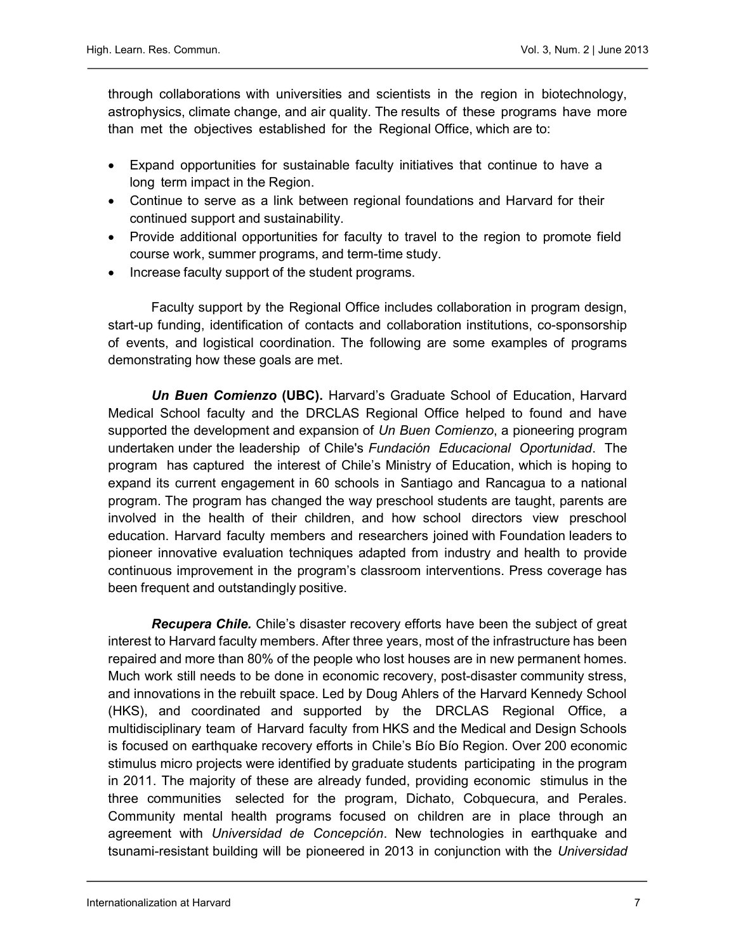through collaborations with universities and scientists in the region in biotechnology, astrophysics, climate change, and air quality. The results of these programs have more than met the objectives established for the Regional Office, which are to:

- Expand opportunities for sustainable faculty initiatives that continue to have a long term impact in the Region.
- Continue to serve as a link between regional foundations and Harvard for their continued support and sustainability.
- Provide additional opportunities for faculty to travel to the region to promote field course work, summer programs, and term-time study.
- Increase faculty support of the student programs.

Faculty support by the Regional Office includes collaboration in program design, start-up funding, identification of contacts and collaboration institutions, co-sponsorship of events, and logistical coordination. The following are some examples of programs demonstrating how these goals are met.

Un Buen Comienzo (UBC). Harvard's Graduate School of Education, Harvard Medical School faculty and the DRCLAS Regional Office helped to found and have supported the development and expansion of Un Buen Comienzo, a pioneering program undertaken under the leadership of Chile's Fundación Educacional Oportunidad. The program has captured the interest of Chile's Ministry of Education, which is hoping to expand its current engagement in 60 schools in Santiago and Rancagua to a national program. The program has changed the way preschool students are taught, parents are involved in the health of their children, and how school directors view preschool education. Harvard faculty members and researchers joined with Foundation leaders to pioneer innovative evaluation techniques adapted from industry and health to provide continuous improvement in the program's classroom interventions. Press coverage has been frequent and outstandingly positive.

**Recupera Chile.** Chile's disaster recovery efforts have been the subject of great interest to Harvard faculty members. After three years, most of the infrastructure has been repaired and more than 80% of the people who lost houses are in new permanent homes. Much work still needs to be done in economic recovery, post-disaster community stress, and innovations in the rebuilt space. Led by Doug Ahlers of the Harvard Kennedy School (HKS), and coordinated and supported by the DRCLAS Regional Office, a multidisciplinary team of Harvard faculty from HKS and the Medical and Design Schools is focused on earthquake recovery efforts in Chile's Bío Bío Region. Over 200 economic stimulus micro projects were identified by graduate students participating in the program in 2011. The majority of these are already funded, providing economic stimulus in the three communities selected for the program, Dichato, Cobquecura, and Perales. Community mental health programs focused on children are in place through an agreement with Universidad de Concepción. New technologies in earthquake and tsunami-resistant building will be pioneered in 2013 in conjunction with the Universidad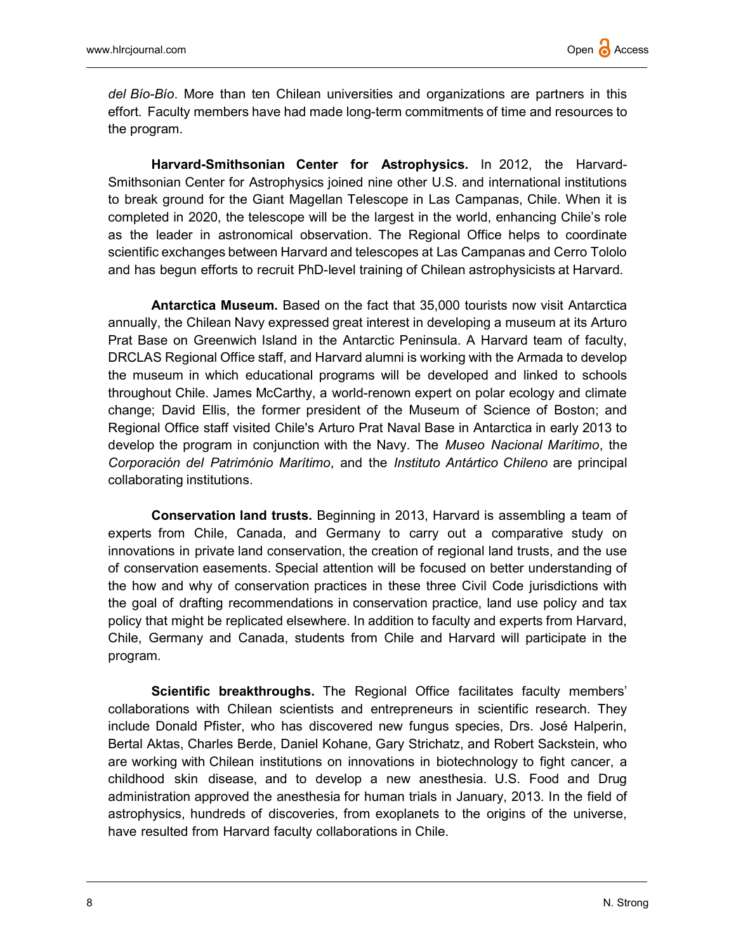del Bío-Bío. More than ten Chilean universities and organizations are partners in this effort. Faculty members have had made long-term commitments of time and resources to the program.

Harvard-Smithsonian Center for Astrophysics. In 2012, the Harvard-Smithsonian Center for Astrophysics joined nine other U.S. and international institutions to break ground for the Giant Magellan Telescope in Las Campanas, Chile. When it is completed in 2020, the telescope will be the largest in the world, enhancing Chile's role as the leader in astronomical observation. The Regional Office helps to coordinate scientific exchanges between Harvard and telescopes at Las Campanas and Cerro Tololo and has begun efforts to recruit PhD-level training of Chilean astrophysicists at Harvard.

Antarctica Museum. Based on the fact that 35,000 tourists now visit Antarctica annually, the Chilean Navy expressed great interest in developing a museum at its Arturo Prat Base on Greenwich Island in the Antarctic Peninsula. A Harvard team of faculty, DRCLAS Regional Office staff, and Harvard alumni is working with the Armada to develop the museum in which educational programs will be developed and linked to schools throughout Chile. James McCarthy, a world-renown expert on polar ecology and climate change; David Ellis, the former president of the Museum of Science of Boston; and Regional Office staff visited Chile's Arturo Prat Naval Base in Antarctica in early 2013 to develop the program in conjunction with the Navy. The Museo Nacional Marítimo, the Corporación del Património Marítimo, and the Instituto Antártico Chileno are principal collaborating institutions.

Conservation land trusts. Beginning in 2013, Harvard is assembling a team of experts from Chile, Canada, and Germany to carry out a comparative study on innovations in private land conservation, the creation of regional land trusts, and the use of conservation easements. Special attention will be focused on better understanding of the how and why of conservation practices in these three Civil Code jurisdictions with the goal of drafting recommendations in conservation practice, land use policy and tax policy that might be replicated elsewhere. In addition to faculty and experts from Harvard, Chile, Germany and Canada, students from Chile and Harvard will participate in the program.

Scientific breakthroughs. The Regional Office facilitates faculty members' collaborations with Chilean scientists and entrepreneurs in scientific research. They include Donald Pfister, who has discovered new fungus species, Drs. José Halperin, Bertal Aktas, Charles Berde, Daniel Kohane, Gary Strichatz, and Robert Sackstein, who are working with Chilean institutions on innovations in biotechnology to fight cancer, a childhood skin disease, and to develop a new anesthesia. U.S. Food and Drug administration approved the anesthesia for human trials in January, 2013. In the field of astrophysics, hundreds of discoveries, from exoplanets to the origins of the universe, have resulted from Harvard faculty collaborations in Chile.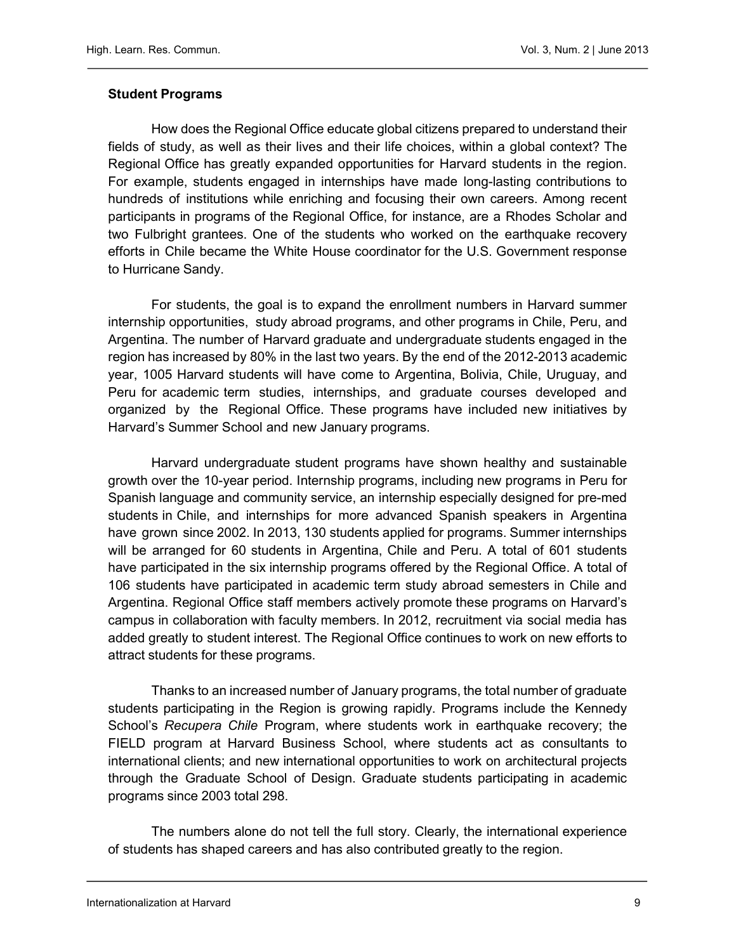# Student Programs

How does the Regional Office educate global citizens prepared to understand their fields of study, as well as their lives and their life choices, within a global context? The Regional Office has greatly expanded opportunities for Harvard students in the region. For example, students engaged in internships have made long-lasting contributions to hundreds of institutions while enriching and focusing their own careers. Among recent participants in programs of the Regional Office, for instance, are a Rhodes Scholar and two Fulbright grantees. One of the students who worked on the earthquake recovery efforts in Chile became the White House coordinator for the U.S. Government response to Hurricane Sandy.

For students, the goal is to expand the enrollment numbers in Harvard summer internship opportunities, study abroad programs, and other programs in Chile, Peru, and Argentina. The number of Harvard graduate and undergraduate students engaged in the region has increased by 80% in the last two years. By the end of the 2012-2013 academic year, 1005 Harvard students will have come to Argentina, Bolivia, Chile, Uruguay, and Peru for academic term studies, internships, and graduate courses developed and organized by the Regional Office. These programs have included new initiatives by Harvard's Summer School and new January programs.

Harvard undergraduate student programs have shown healthy and sustainable growth over the 10-year period. Internship programs, including new programs in Peru for Spanish language and community service, an internship especially designed for pre-med students in Chile, and internships for more advanced Spanish speakers in Argentina have grown since 2002. In 2013, 130 students applied for programs. Summer internships will be arranged for 60 students in Argentina, Chile and Peru. A total of 601 students have participated in the six internship programs offered by the Regional Office. A total of 106 students have participated in academic term study abroad semesters in Chile and Argentina. Regional Office staff members actively promote these programs on Harvard's campus in collaboration with faculty members. In 2012, recruitment via social media has added greatly to student interest. The Regional Office continues to work on new efforts to attract students for these programs.

Thanks to an increased number of January programs, the total number of graduate students participating in the Region is growing rapidly. Programs include the Kennedy School's Recupera Chile Program, where students work in earthquake recovery; the FIELD program at Harvard Business School, where students act as consultants to international clients; and new international opportunities to work on architectural projects through the Graduate School of Design. Graduate students participating in academic programs since 2003 total 298.

The numbers alone do not tell the full story. Clearly, the international experience of students has shaped careers and has also contributed greatly to the region.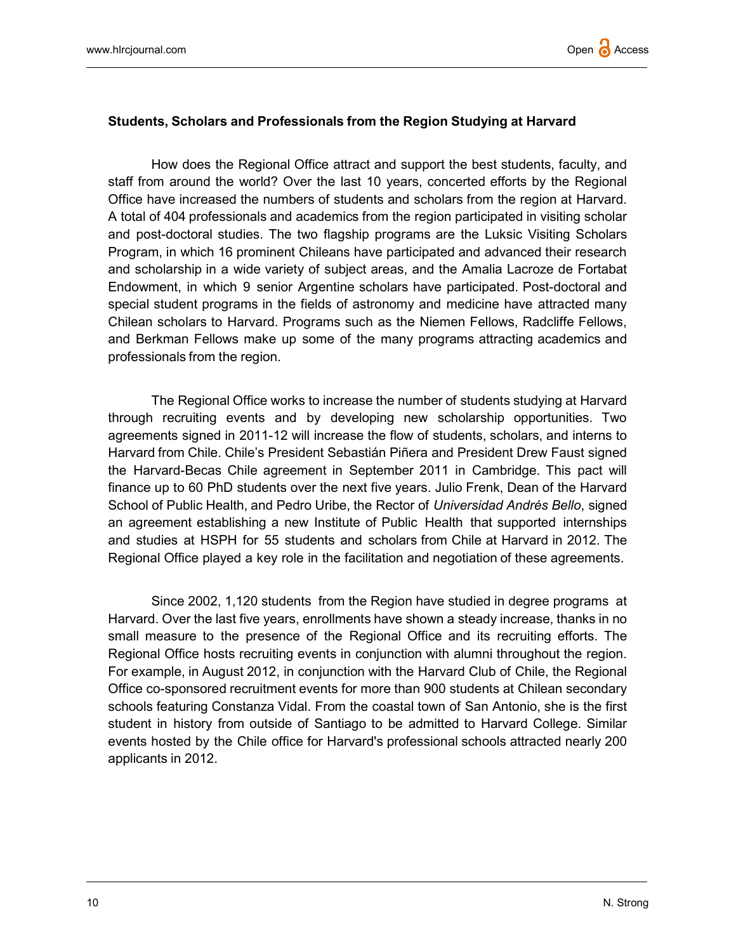## Students, Scholars and Professionals from the Region Studying at Harvard

How does the Regional Office attract and support the best students, faculty, and staff from around the world? Over the last 10 years, concerted efforts by the Regional Office have increased the numbers of students and scholars from the region at Harvard. A total of 404 professionals and academics from the region participated in visiting scholar and post-doctoral studies. The two flagship programs are the Luksic Visiting Scholars Program, in which 16 prominent Chileans have participated and advanced their research and scholarship in a wide variety of subject areas, and the Amalia Lacroze de Fortabat Endowment, in which 9 senior Argentine scholars have participated. Post-doctoral and special student programs in the fields of astronomy and medicine have attracted many Chilean scholars to Harvard. Programs such as the Niemen Fellows, Radcliffe Fellows, and Berkman Fellows make up some of the many programs attracting academics and professionals from the region.

The Regional Office works to increase the number of students studying at Harvard through recruiting events and by developing new scholarship opportunities. Two agreements signed in 2011-12 will increase the flow of students, scholars, and interns to Harvard from Chile. Chile's President Sebastián Piñera and President Drew Faust signed the Harvard-Becas Chile agreement in September 2011 in Cambridge. This pact will finance up to 60 PhD students over the next five years. Julio Frenk, Dean of the Harvard School of Public Health, and Pedro Uribe, the Rector of Universidad Andrés Bello, signed an agreement establishing a new Institute of Public Health that supported internships and studies at HSPH for 55 students and scholars from Chile at Harvard in 2012. The Regional Office played a key role in the facilitation and negotiation of these agreements.

Since 2002, 1,120 students from the Region have studied in degree programs at Harvard. Over the last five years, enrollments have shown a steady increase, thanks in no small measure to the presence of the Regional Office and its recruiting efforts. The Regional Office hosts recruiting events in conjunction with alumni throughout the region. For example, in August 2012, in conjunction with the Harvard Club of Chile, the Regional Office co-sponsored recruitment events for more than 900 students at Chilean secondary schools featuring Constanza Vidal. From the coastal town of San Antonio, she is the first student in history from outside of Santiago to be admitted to Harvard College. Similar events hosted by the Chile office for Harvard's professional schools attracted nearly 200 applicants in 2012.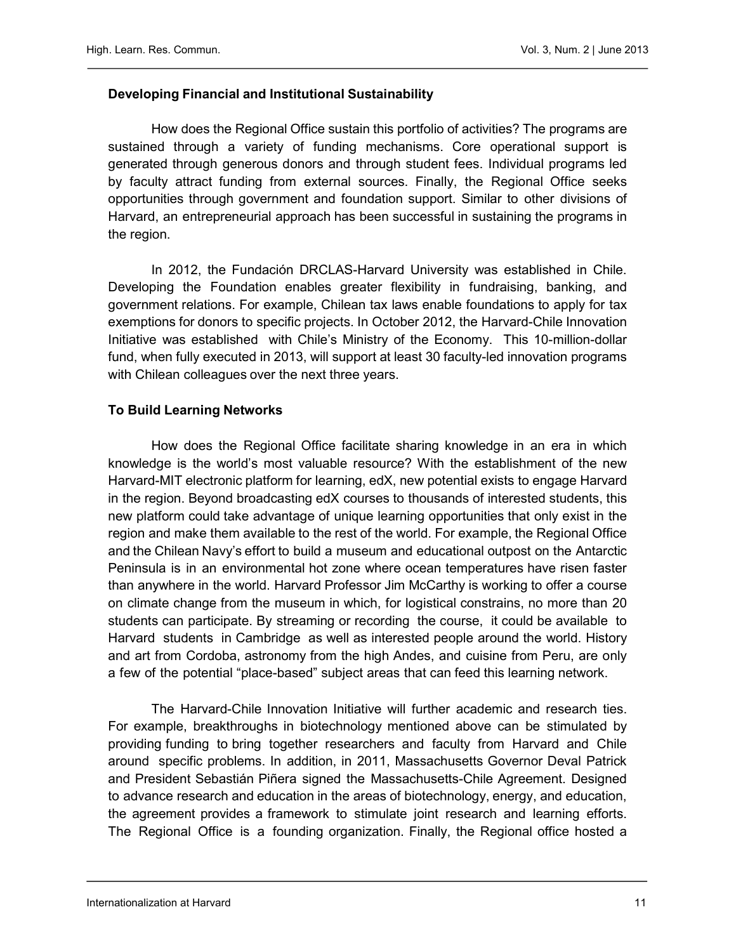# Developing Financial and Institutional Sustainability

How does the Regional Office sustain this portfolio of activities? The programs are sustained through a variety of funding mechanisms. Core operational support is generated through generous donors and through student fees. Individual programs led by faculty attract funding from external sources. Finally, the Regional Office seeks opportunities through government and foundation support. Similar to other divisions of Harvard, an entrepreneurial approach has been successful in sustaining the programs in the region.

In 2012, the Fundación DRCLAS-Harvard University was established in Chile. Developing the Foundation enables greater flexibility in fundraising, banking, and government relations. For example, Chilean tax laws enable foundations to apply for tax exemptions for donors to specific projects. In October 2012, the Harvard-Chile Innovation Initiative was established with Chile's Ministry of the Economy. This 10-million-dollar fund, when fully executed in 2013, will support at least 30 faculty-led innovation programs with Chilean colleagues over the next three years.

## To Build Learning Networks

How does the Regional Office facilitate sharing knowledge in an era in which knowledge is the world's most valuable resource? With the establishment of the new Harvard-MIT electronic platform for learning, edX, new potential exists to engage Harvard in the region. Beyond broadcasting edX courses to thousands of interested students, this new platform could take advantage of unique learning opportunities that only exist in the region and make them available to the rest of the world. For example, the Regional Office and the Chilean Navy's effort to build a museum and educational outpost on the Antarctic Peninsula is in an environmental hot zone where ocean temperatures have risen faster than anywhere in the world. Harvard Professor Jim McCarthy is working to offer a course on climate change from the museum in which, for logistical constrains, no more than 20 students can participate. By streaming or recording the course, it could be available to Harvard students in Cambridge as well as interested people around the world. History and art from Cordoba, astronomy from the high Andes, and cuisine from Peru, are only a few of the potential "place-based" subject areas that can feed this learning network.

The Harvard-Chile Innovation Initiative will further academic and research ties. For example, breakthroughs in biotechnology mentioned above can be stimulated by providing funding to bring together researchers and faculty from Harvard and Chile around specific problems. In addition, in 2011, Massachusetts Governor Deval Patrick and President Sebastián Piñera signed the Massachusetts-Chile Agreement. Designed to advance research and education in the areas of biotechnology, energy, and education, the agreement provides a framework to stimulate joint research and learning efforts. The Regional Office is a founding organization. Finally, the Regional office hosted a